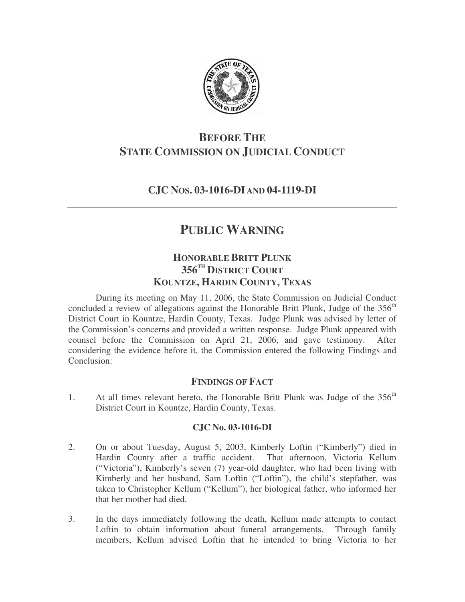

## **BEFORE THE STATE COMMISSION ON JUDICIAL CONDUCT**

## **CJC NOS. 03-1016-DI AND 04-1119-DI**

# **PUBLIC WARNING**

### **HONORABLE BRITT PLUNK 356 TH DISTRICT COURT KOUNTZE, HARDIN COUNTY, TEXAS**

During its meeting on May 11, 2006, the State Commission on Judicial Conduct concluded a review of allegations against the Honorable Britt Plunk, Judge of the 356<sup>th</sup> District Court in Kountze, Hardin County, Texas. Judge Plunk was advised by letter of the Commission's concerns and provided a written response. Judge Plunk appeared with counsel before the Commission on April 21, 2006, and gave testimony. After considering the evidence before it, the Commission entered the following Findings and Conclusion:

### **FINDINGS OF FACT**

1. At all times relevant hereto, the Honorable Britt Plunk was Judge of the 356<sup>th</sup> District Court in Kountze, Hardin County, Texas.

#### **CJC No. 03-1016-DI**

- 2. On or about Tuesday, August 5, 2003, Kimberly Loftin ("Kimberly") died in Hardin County after a traffic accident. That afternoon, Victoria Kellum ("Victoria"), Kimberly's seven (7) year-old daughter, who had been living with Kimberly and her husband, Sam Loftin ("Loftin"), the child's stepfather, was taken to Christopher Kellum ("Kellum"), her biological father, who informed her that her mother had died.
- 3. In the days immediately following the death, Kellum made attempts to contact Loftin to obtain information about funeral arrangements. Through family members, Kellum advised Loftin that he intended to bring Victoria to her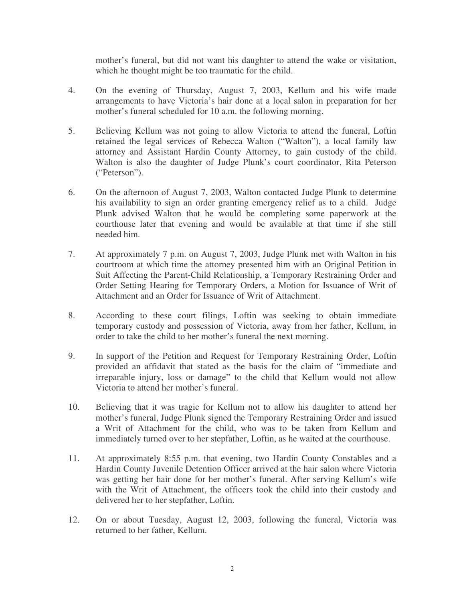mother's funeral, but did not want his daughter to attend the wake or visitation, which he thought might be too traumatic for the child.

- 4. On the evening of Thursday, August 7, 2003, Kellum and his wife made arrangements to have Victoria's hair done at a local salon in preparation for her mother's funeral scheduled for 10 a.m. the following morning.
- 5. Believing Kellum was not going to allow Victoria to attend the funeral, Loftin retained the legal services of Rebecca Walton ("Walton"), a local family law attorney and Assistant Hardin County Attorney, to gain custody of the child. Walton is also the daughter of Judge Plunk's court coordinator, Rita Peterson ("Peterson").
- 6. On the afternoon of August 7, 2003, Walton contacted Judge Plunk to determine his availability to sign an order granting emergency relief as to a child. Judge Plunk advised Walton that he would be completing some paperwork at the courthouse later that evening and would be available at that time if she still needed him.
- 7. At approximately 7 p.m. on August 7, 2003, Judge Plunk met with Walton in his courtroom at which time the attorney presented him with an Original Petition in Suit Affecting the Parent-Child Relationship, a Temporary Restraining Order and Order Setting Hearing for Temporary Orders, a Motion for Issuance of Writ of Attachment and an Order for Issuance of Writ of Attachment.
- 8. According to these court filings, Loftin was seeking to obtain immediate temporary custody and possession of Victoria, away from her father, Kellum, in order to take the child to her mother's funeral the next morning.
- 9. In support of the Petition and Request for Temporary Restraining Order, Loftin provided an affidavit that stated as the basis for the claim of "immediate and irreparable injury, loss or damage" to the child that Kellum would not allow Victoria to attend her mother's funeral.
- 10. Believing that it was tragic for Kellum not to allow his daughter to attend her mother's funeral, Judge Plunk signed the Temporary Restraining Order and issued a Writ of Attachment for the child, who was to be taken from Kellum and immediately turned over to her stepfather, Loftin, as he waited at the courthouse.
- 11. At approximately 8:55 p.m. that evening, two Hardin County Constables and a Hardin County Juvenile Detention Officer arrived at the hair salon where Victoria was getting her hair done for her mother's funeral. After serving Kellum's wife with the Writ of Attachment, the officers took the child into their custody and delivered her to her stepfather, Loftin.
- 12. On or about Tuesday, August 12, 2003, following the funeral, Victoria was returned to her father, Kellum.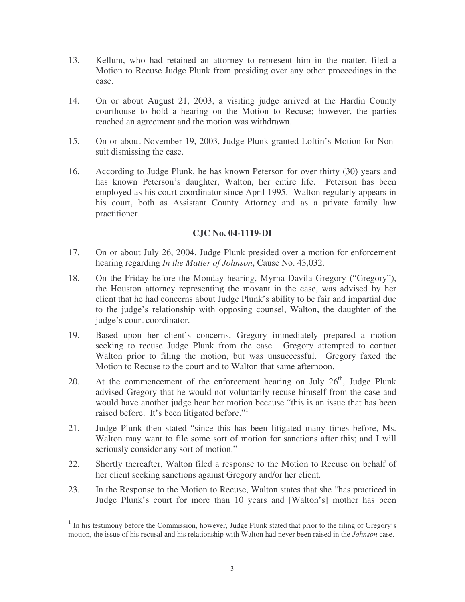- 13. Kellum, who had retained an attorney to represent him in the matter, filed a Motion to Recuse Judge Plunk from presiding over any other proceedings in the case.
- 14. On or about August 21, 2003, a visiting judge arrived at the Hardin County courthouse to hold a hearing on the Motion to Recuse; however, the parties reached an agreement and the motion was withdrawn.
- 15. On or about November 19, 2003, Judge Plunk granted Loftin's Motion for Nonsuit dismissing the case.
- 16. According to Judge Plunk, he has known Peterson for over thirty (30) years and has known Peterson's daughter, Walton, her entire life. Peterson has been employed as his court coordinator since April 1995. Walton regularly appears in his court, both as Assistant County Attorney and as a private family law practitioner.

#### **CJC No. 04-1119-DI**

- 17. On or about July 26, 2004, Judge Plunk presided over a motion for enforcement hearing regarding *In the Matter of Johnson*, Cause No. 43,032.
- 18. On the Friday before the Monday hearing, Myrna Davila Gregory ("Gregory"), the Houston attorney representing the movant in the case, was advised by her client that he had concerns about Judge Plunk's ability to be fair and impartial due to the judge's relationship with opposing counsel, Walton, the daughter of the judge's court coordinator.
- 19. Based upon her client's concerns, Gregory immediately prepared a motion seeking to recuse Judge Plunk from the case. Gregory attempted to contact Walton prior to filing the motion, but was unsuccessful. Gregory faxed the Motion to Recuse to the court and to Walton that same afternoon.
- 20. At the commencement of the enforcement hearing on July  $26<sup>th</sup>$ , Judge Plunk advised Gregory that he would not voluntarily recuse himself from the case and would have another judge hear her motion because "this is an issue that has been raised before. It's been litigated before."<sup>1</sup>
- 21. Judge Plunk then stated "since this has been litigated many times before, Ms. Walton may want to file some sort of motion for sanctions after this; and I will seriously consider any sort of motion."
- 22. Shortly thereafter, Walton filed a response to the Motion to Recuse on behalf of her client seeking sanctions against Gregory and/or her client.
- 23. In the Response to the Motion to Recuse, Walton states that she "has practiced in Judge Plunk's court for more than 10 years and [Walton's] mother has been

<sup>&</sup>lt;sup>1</sup> In his testimony before the Commission, however, Judge Plunk stated that prior to the filing of Gregory's motion, the issue of his recusal and his relationship with Walton had never been raised in the *Johnson* case.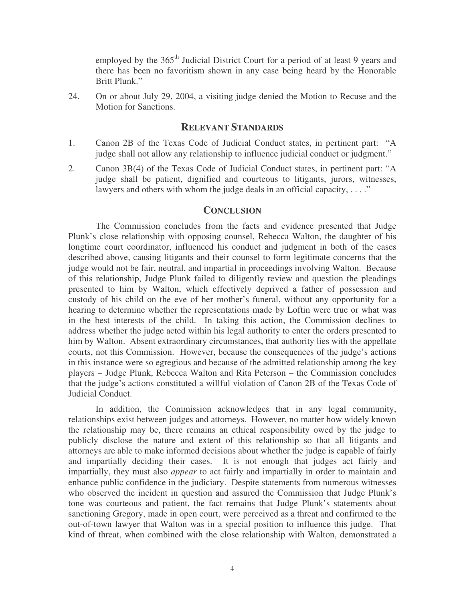employed by the 365<sup>th</sup> Judicial District Court for a period of at least 9 years and there has been no favoritism shown in any case being heard by the Honorable Britt Plunk."

24. On or about July 29, 2004, a visiting judge denied the Motion to Recuse and the Motion for Sanctions.

#### **RELEVANT STANDARDS**

- 1. Canon 2B of the Texas Code of Judicial Conduct states, in pertinent part: "A judge shall not allow any relationship to influence judicial conduct or judgment."
- 2. Canon 3B(4) of the Texas Code of Judicial Conduct states, in pertinent part: "A judge shall be patient, dignified and courteous to litigants, jurors, witnesses, lawyers and others with whom the judge deals in an official capacity,  $\dots$ ."

#### **CONCLUSION**

The Commission concludes from the facts and evidence presented that Judge Plunk's close relationship with opposing counsel, Rebecca Walton, the daughter of his longtime court coordinator, influenced his conduct and judgment in both of the cases described above, causing litigants and their counsel to form legitimate concerns that the judge would not be fair, neutral, and impartial in proceedings involving Walton. Because of this relationship, Judge Plunk failed to diligently review and question the pleadings presented to him by Walton, which effectively deprived a father of possession and custody of his child on the eve of her mother's funeral, without any opportunity for a hearing to determine whether the representations made by Loftin were true or what was in the best interests of the child. In taking this action, the Commission declines to address whether the judge acted within his legal authority to enter the orders presented to him by Walton. Absent extraordinary circumstances, that authority lies with the appellate courts, not this Commission. However, because the consequences of the judge's actions in this instance were so egregious and because of the admitted relationship among the key players – Judge Plunk, Rebecca Walton and Rita Peterson – the Commission concludes that the judge's actions constituted a willful violation of Canon 2B of the Texas Code of Judicial Conduct.

In addition, the Commission acknowledges that in any legal community, relationships exist between judges and attorneys. However, no matter how widely known the relationship may be, there remains an ethical responsibility owed by the judge to publicly disclose the nature and extent of this relationship so that all litigants and attorneys are able to make informed decisions about whether the judge is capable of fairly and impartially deciding their cases. It is not enough that judges act fairly and impartially, they must also *appear* to act fairly and impartially in order to maintain and enhance public confidence in the judiciary. Despite statements from numerous witnesses who observed the incident in question and assured the Commission that Judge Plunk's tone was courteous and patient, the fact remains that Judge Plunk's statements about sanctioning Gregory, made in open court, were perceived as a threat and confirmed to the out-of-town lawyer that Walton was in a special position to influence this judge. That kind of threat, when combined with the close relationship with Walton, demonstrated a